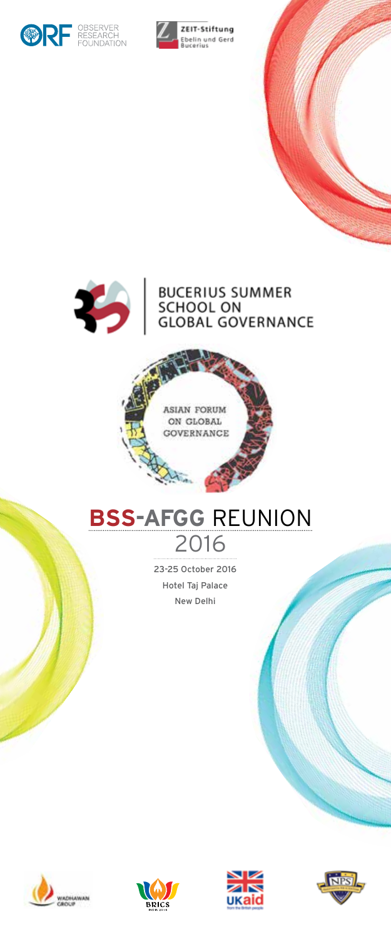









# **BSS-AFGG** reunion 2016

23-25 October 2016 Hotel Taj Palace New Delhi







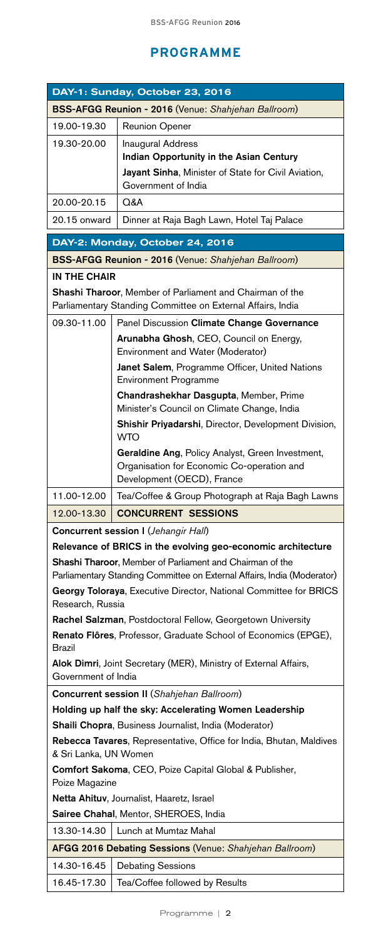# **Programme**

| DAY-1: Sunday, October 23, 2016                                                                                                                |                                                                                                                                            |  |
|------------------------------------------------------------------------------------------------------------------------------------------------|--------------------------------------------------------------------------------------------------------------------------------------------|--|
| BSS-AFGG Reunion - 2016 (Venue: Shahjehan Ballroom)                                                                                            |                                                                                                                                            |  |
| 19.00-19.30                                                                                                                                    | Reunion Opener                                                                                                                             |  |
| 19.30-20.00                                                                                                                                    | Inaugural Address<br>Indian Opportunity in the Asian Century<br>Jayant Sinha, Minister of State for Civil Aviation,<br>Government of India |  |
| 20.00-20.15                                                                                                                                    | Q&A                                                                                                                                        |  |
| 20.15 onward                                                                                                                                   | Dinner at Raja Bagh Lawn, Hotel Taj Palace                                                                                                 |  |
| DAY-2: Monday, October 24, 2016                                                                                                                |                                                                                                                                            |  |
|                                                                                                                                                | <b>BSS-AFGG Reunion - 2016 (Venue: Shahjehan Ballroom)</b>                                                                                 |  |
| IN THE CHAIR<br><b>Shashi Tharoor, Member of Parliament and Chairman of the</b><br>Parliamentary Standing Committee on External Affairs, India |                                                                                                                                            |  |
| 09.30-11.00                                                                                                                                    | Panel Discussion Climate Change Governance<br>Arunabha Ghosh, CEO, Council on Energy,<br>Environment and Water (Moderator)                 |  |
|                                                                                                                                                | <b>Janet Salem, Programme Officer, United Nations</b><br><b>Environment Programme</b>                                                      |  |
|                                                                                                                                                | Chandrashekhar Dasgupta, Member, Prime<br>Minister's Council on Climate Change, India                                                      |  |
|                                                                                                                                                | Shishir Priyadarshi, Director, Development Division,<br>WTO                                                                                |  |
|                                                                                                                                                | Geraldine Ang, Policy Analyst, Green Investment,<br>Organisation for Economic Co-operation and<br>Development (OECD), France               |  |
| 11.00-12.00                                                                                                                                    | Tea/Coffee & Group Photograph at Raja Bagh Lawns                                                                                           |  |
| 12.00-13.30                                                                                                                                    | <b>CONCURRENT SESSIONS</b>                                                                                                                 |  |
| <b>Concurrent session I (Jehangir Hall)</b>                                                                                                    |                                                                                                                                            |  |
| Relevance of BRICS in the evolving geo-economic architecture                                                                                   |                                                                                                                                            |  |
| Shashi Tharoor, Member of Parliament and Chairman of the<br>Parliamentary Standing Committee on External Affairs, India (Moderator)            |                                                                                                                                            |  |
| Georgy Toloraya, Executive Director, National Committee for BRICS<br>Research, Russia                                                          |                                                                                                                                            |  |
| Rachel Salzman, Postdoctoral Fellow, Georgetown University                                                                                     |                                                                                                                                            |  |
| Renato Flôres, Professor, Graduate School of Economics (EPGE),<br>Brazil                                                                       |                                                                                                                                            |  |
| Alok Dimri, Joint Secretary (MER), Ministry of External Affairs,<br>Government of India                                                        |                                                                                                                                            |  |
| <b>Concurrent session II</b> (Shahjehan Ballroom)                                                                                              |                                                                                                                                            |  |
| Holding up half the sky: Accelerating Women Leadership                                                                                         |                                                                                                                                            |  |
| <b>Shaili Chopra, Business Journalist, India (Moderator)</b>                                                                                   |                                                                                                                                            |  |
| & Sri Lanka, UN Women                                                                                                                          | <b>Rebecca Tavares, Representative, Office for India, Bhutan, Maldives</b>                                                                 |  |
| Poize Magazine                                                                                                                                 | Comfort Sakoma, CEO, Poize Capital Global & Publisher,                                                                                     |  |
| Netta Ahituv, Journalist, Haaretz, Israel                                                                                                      |                                                                                                                                            |  |
| Sairee Chahal, Mentor, SHEROES, India                                                                                                          |                                                                                                                                            |  |
|                                                                                                                                                |                                                                                                                                            |  |
| 13.30-14.30                                                                                                                                    | Lunch at Mumtaz Mahal                                                                                                                      |  |
|                                                                                                                                                | AFGG 2016 Debating Sessions (Venue: Shahjehan Ballroom)                                                                                    |  |
| 14.30-16.45                                                                                                                                    | <b>Debating Sessions</b>                                                                                                                   |  |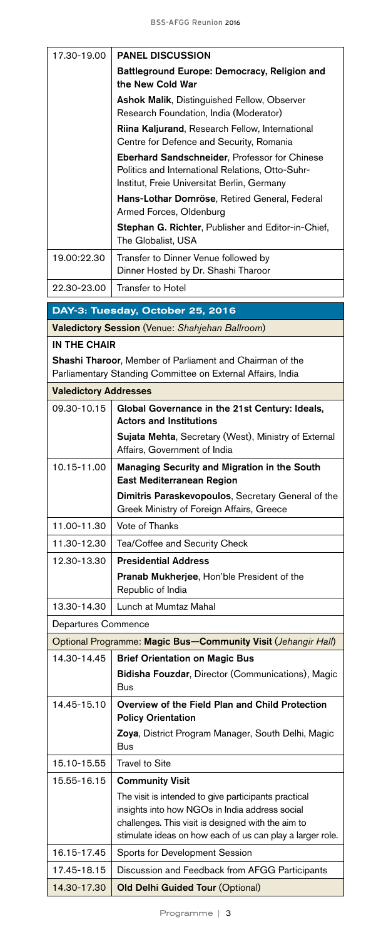| 17.30-19.00                                            | <b>PANEL DISCUSSION</b>                                                                                                                          |  |
|--------------------------------------------------------|--------------------------------------------------------------------------------------------------------------------------------------------------|--|
|                                                        | Battleground Europe: Democracy, Religion and<br>the New Cold War                                                                                 |  |
|                                                        | Ashok Malik, Distinguished Fellow, Observer<br>Research Foundation, India (Moderator)                                                            |  |
|                                                        | Riina Kaljurand, Research Fellow, International<br>Centre for Defence and Security, Romania                                                      |  |
|                                                        | Eberhard Sandschneider, Professor for Chinese<br>Politics and International Relations, Otto-Suhr-<br>Institut, Freie Universitat Berlin, Germany |  |
|                                                        | Hans-Lothar Domröse, Retired General, Federal<br>Armed Forces, Oldenburg                                                                         |  |
|                                                        | Stephan G. Richter, Publisher and Editor-in-Chief,<br>The Globalist, USA                                                                         |  |
| 19.00:22.30                                            | Transfer to Dinner Venue followed by<br>Dinner Hosted by Dr. Shashi Tharoor                                                                      |  |
| 22.30-23.00                                            | Transfer to Hotel                                                                                                                                |  |
|                                                        | DAY-3: Tuesday, October 25, 2016                                                                                                                 |  |
| <b>Valedictory Session</b> (Venue: Shahjehan Ballroom) |                                                                                                                                                  |  |
| IN THE CHAIR                                           |                                                                                                                                                  |  |
|                                                        | Shashi Tharoor, Member of Parliament and Chairman of the<br>Parliamentary Standing Committee on External Affairs, India                          |  |
| <b>Valedictory Addresses</b>                           |                                                                                                                                                  |  |
| 09.30-10.15                                            | Global Governance in the 21st Century: Ideals,<br><b>Actors and Institutions</b>                                                                 |  |
|                                                        | Sujata Mehta, Secretary (West), Ministry of External<br>Affairs, Government of India                                                             |  |

| 10.15-11.00                                                   | Managing Security and Migration in the South<br>East Mediterranean Region                                                                                                                                                 |
|---------------------------------------------------------------|---------------------------------------------------------------------------------------------------------------------------------------------------------------------------------------------------------------------------|
|                                                               | Dimitris Paraskevopoulos, Secretary General of the<br>Greek Ministry of Foreign Affairs, Greece                                                                                                                           |
| 11.00-11.30                                                   | Vote of Thanks                                                                                                                                                                                                            |
| 11.30-12.30                                                   | Tea/Coffee and Security Check                                                                                                                                                                                             |
| 12.30-13.30                                                   | <b>Presidential Address</b>                                                                                                                                                                                               |
|                                                               | Pranab Mukherjee, Hon'ble President of the<br>Republic of India                                                                                                                                                           |
| 13.30-14.30                                                   | Lunch at Mumtaz Mahal                                                                                                                                                                                                     |
| Departures Commence                                           |                                                                                                                                                                                                                           |
| Optional Programme: Magic Bus-Community Visit (Jehangir Hall) |                                                                                                                                                                                                                           |
| 14.30-14.45                                                   | <b>Brief Orientation on Magic Bus</b>                                                                                                                                                                                     |
|                                                               | Bidisha Fouzdar, Director (Communications), Magic<br><b>Bus</b>                                                                                                                                                           |
| 14.45-15.10                                                   | Overview of the Field Plan and Child Protection<br><b>Policy Orientation</b>                                                                                                                                              |
|                                                               | Zoya, District Program Manager, South Delhi, Magic<br><b>Bus</b>                                                                                                                                                          |
| 15.10-15.55                                                   | Travel to Site                                                                                                                                                                                                            |
| 15.55-16.15                                                   | <b>Community Visit</b>                                                                                                                                                                                                    |
|                                                               | The visit is intended to give participants practical<br>insights into how NGOs in India address social<br>challenges. This visit is designed with the aim to<br>stimulate ideas on how each of us can play a larger role. |
| 16.15-17.45                                                   | Sports for Development Session                                                                                                                                                                                            |
| 17.45-18.15                                                   | Discussion and Feedback from AFGG Participants                                                                                                                                                                            |
| 14.30-17.30                                                   | <b>Old Delhi Guided Tour (Optional)</b>                                                                                                                                                                                   |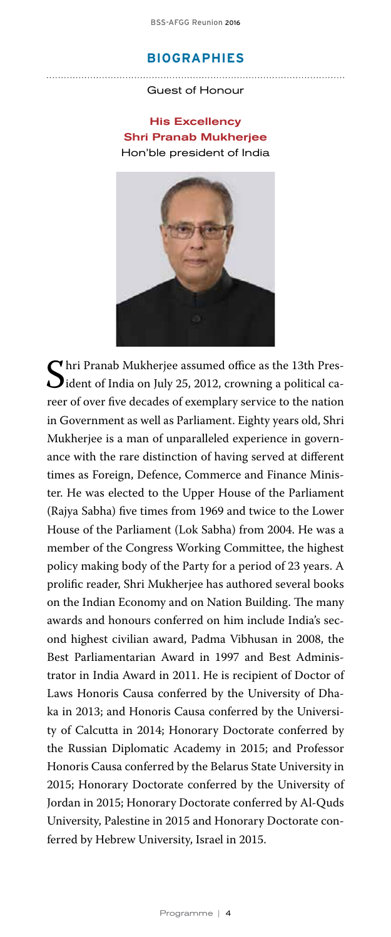# **BIOGRAPHIES**

Guest of Honour

# His Excellency Shri Pranab Mukherjee Hon'ble president of India



Shri Pranab Mukherjee assumed office as the 13th Pres-<br>ident of India on July 25, 2012, crowning a political ca-<br>recent form five decedes of examples service to the potion reer of over five decades of exemplary service to the nation in Government as well as Parliament. Eighty years old, Shri Mukherjee is a man of unparalleled experience in governance with the rare distinction of having served at different times as Foreign, Defence, Commerce and Finance Minister. He was elected to the Upper House of the Parliament (Rajya Sabha) five times from 1969 and twice to the Lower House of the Parliament (Lok Sabha) from 2004. He was a member of the Congress Working Committee, the highest policy making body of the Party for a period of 23 years. A prolific reader, Shri Mukherjee has authored several books on the Indian Economy and on Nation Building. The many awards and honours conferred on him include India's second highest civilian award, Padma Vibhusan in 2008, the Best Parliamentarian Award in 1997 and Best Administrator in India Award in 2011. He is recipient of Doctor of Laws Honoris Causa conferred by the University of Dhaka in 2013; and Honoris Causa conferred by the University of Calcutta in 2014; Honorary Doctorate conferred by the Russian Diplomatic Academy in 2015; and Professor Honoris Causa conferred by the Belarus State University in 2015; Honorary Doctorate conferred by the University of Jordan in 2015; Honorary Doctorate conferred by Al-Quds University, Palestine in 2015 and Honorary Doctorate conferred by Hebrew University, Israel in 2015.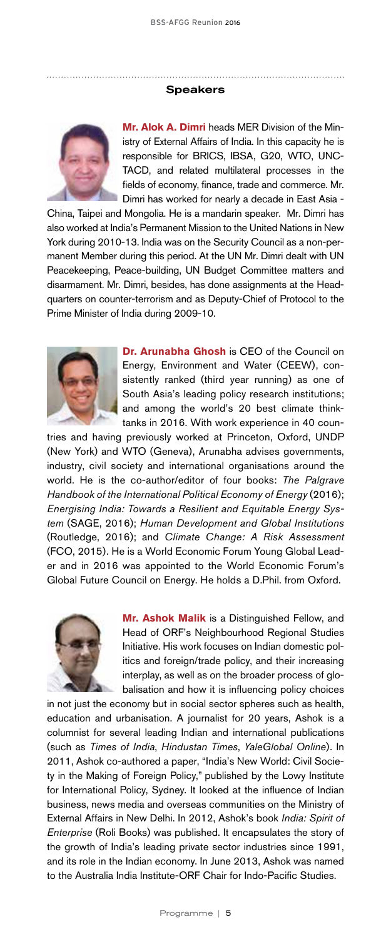#### Speakers



**Mr. Alok A. Dimri** heads MER Division of the Ministry of External Affairs of India. In this capacity he is responsible for BRICS, IBSA, G20, WTO, UNC-TACD, and related multilateral processes in the fields of economy, finance, trade and commerce. Mr. Dimri has worked for nearly a decade in East Asia -

China, Taipei and Mongolia. He is a mandarin speaker. Mr. Dimri has also worked at India's Permanent Mission to the United Nations in New York during 2010-13. India was on the Security Council as a non-permanent Member during this period. At the UN Mr. Dimri dealt with UN Peacekeeping, Peace-building, UN Budget Committee matters and disarmament. Mr. Dimri, besides, has done assignments at the Headquarters on counter-terrorism and as Deputy-Chief of Protocol to the Prime Minister of India during 2009-10.



**Dr. Arunabha Ghosh** is CEO of the Council on Energy, Environment and Water (CEEW), consistently ranked (third year running) as one of South Asia's leading policy research institutions; and among the world's 20 best climate thinktanks in 2016. With work experience in 40 coun-

tries and having previously worked at Princeton, Oxford, UNDP (New York) and WTO (Geneva), Arunabha advises governments, industry, civil society and international organisations around the world. He is the co-author/editor of four books: *The Palgrave Handbook of the International Political Economy of Energy* (2016); *Energising India: Towards a Resilient and Equitable Energy System* (SAGE, 2016); *Human Development and Global Institutions* (Routledge, 2016); and *Climate Change: A Risk Assessment* (FCO, 2015). He is a World Economic Forum Young Global Leader and in 2016 was appointed to the World Economic Forum's Global Future Council on Energy. He holds a D.Phil. from Oxford.



**Mr. Ashok Malik** is a Distinguished Fellow, and Head of ORF's Neighbourhood Regional Studies Initiative. His work focuses on Indian domestic politics and foreign/trade policy, and their increasing interplay, as well as on the broader process of globalisation and how it is influencing policy choices

in not just the economy but in social sector spheres such as health, education and urbanisation. A journalist for 20 years, Ashok is a columnist for several leading Indian and international publications (such as *Times of India*, *Hindustan Times*, *YaleGlobal Online*). In 2011, Ashok co-authored a paper, "India's New World: Civil Society in the Making of Foreign Policy," published by the Lowy Institute for International Policy, Sydney. It looked at the influence of Indian business, news media and overseas communities on the Ministry of External Affairs in New Delhi. In 2012, Ashok's book *India: Spirit of Enterprise* (Roli Books) was published. It encapsulates the story of the growth of India's leading private sector industries since 1991, and its role in the Indian economy. In June 2013, Ashok was named to the Australia India Institute-ORF Chair for Indo-Pacific Studies.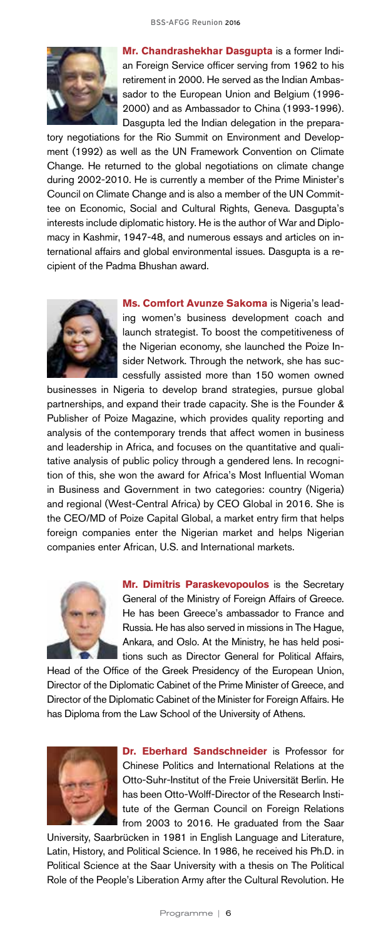

**Mr. Chandrashekhar Dasgupta** is a former Indian Foreign Service officer serving from 1962 to his retirement in 2000. He served as the Indian Ambassador to the European Union and Belgium (1996- 2000) and as Ambassador to China (1993-1996). Dasgupta led the Indian delegation in the prepara-

tory negotiations for the Rio Summit on Environment and Development (1992) as well as the UN Framework Convention on Climate Change. He returned to the global negotiations on climate change during 2002-2010. He is currently a member of the Prime Minister's Council on Climate Change and is also a member of the UN Committee on Economic, Social and Cultural Rights, Geneva. Dasgupta's interests include diplomatic history. He is the author of War and Diplomacy in Kashmir, 1947-48, and numerous essays and articles on international affairs and global environmental issues. Dasgupta is a recipient of the Padma Bhushan award.



**Ms. Comfort Avunze Sakoma** is Nigeria's leading women's business development coach and launch strategist. To boost the competitiveness of the Nigerian economy, she launched the Poize Insider Network. Through the network, she has successfully assisted more than 150 women owned

businesses in Nigeria to develop brand strategies, pursue global partnerships, and expand their trade capacity. She is the Founder & Publisher of Poize Magazine, which provides quality reporting and analysis of the contemporary trends that affect women in business and leadership in Africa, and focuses on the quantitative and qualitative analysis of public policy through a gendered lens. In recognition of this, she won the award for Africa's Most Influential Woman in Business and Government in two categories: country (Nigeria) and regional (West-Central Africa) by CEO Global in 2016. She is the CEO/MD of Poize Capital Global, a market entry firm that helps foreign companies enter the Nigerian market and helps Nigerian companies enter African, U.S. and International markets.



**Mr. Dimitris Paraskevopoulos** is the Secretary General of the Ministry of Foreign Affairs of Greece. He has been Greece's ambassador to France and Russia. He has also served in missions in The Hague, Ankara, and Oslo. At the Ministry, he has held positions such as Director General for Political Affairs,

Head of the Office of the Greek Presidency of the European Union, Director of the Diplomatic Cabinet of the Prime Minister of Greece, and Director of the Diplomatic Cabinet of the Minister for Foreign Affairs. He has Diploma from the Law School of the University of Athens.



**Dr. Eberhard Sandschneider** is Professor for Chinese Politics and International Relations at the Otto-Suhr-Institut of the Freie Universität Berlin. He has been Otto-Wolff-Director of the Research Institute of the German Council on Foreign Relations from 2003 to 2016. He graduated from the Saar

University, Saarbrücken in 1981 in English Language and Literature, Latin, History, and Political Science. In 1986, he received his Ph.D. in Political Science at the Saar University with a thesis on The Political Role of the People's Liberation Army after the Cultural Revolution. He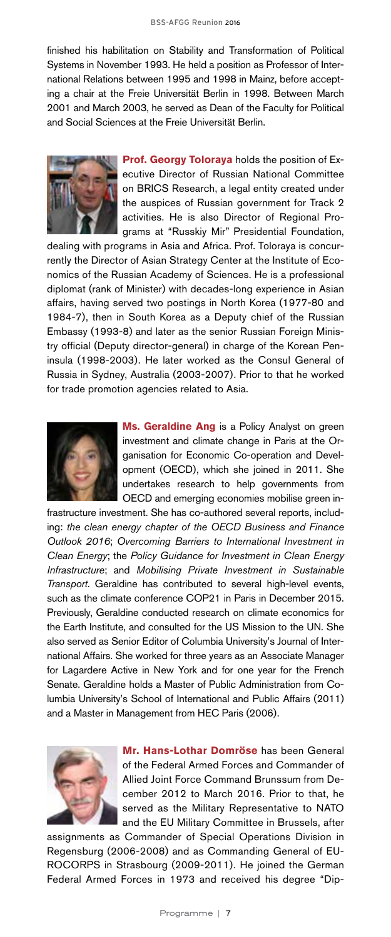finished his habilitation on Stability and Transformation of Political Systems in November 1993. He held a position as Professor of International Relations between 1995 and 1998 in Mainz, before accepting a chair at the Freie Universität Berlin in 1998. Between March 2001 and March 2003, he served as Dean of the Faculty for Political and Social Sciences at the Freie Universität Berlin.



**Prof. Georgy Toloraya** holds the position of Executive Director of Russian National Committee on BRICS Research, a legal entity created under the auspices of Russian government for Track 2 activities. He is also Director of Regional Programs at "Russkiy Mir" Presidential Foundation,

dealing with programs in Asia and Africa. Prof. Toloraya is concurrently the Director of Asian Strategy Center at the Institute of Economics of the Russian Academy of Sciences. He is a professional diplomat (rank of Minister) with decades-long experience in Asian affairs, having served two postings in North Korea (1977-80 and 1984-7), then in South Korea as a Deputy chief of the Russian Embassy (1993-8) and later as the senior Russian Foreign Ministry official (Deputy director-general) in charge of the Korean Peninsula (1998-2003). He later worked as the Consul General of Russia in Sydney, Australia (2003-2007). Prior to that he worked for trade promotion agencies related to Asia.



**Ms. Geraldine Ang** is a Policy Analyst on green investment and climate change in Paris at the Organisation for Economic Co-operation and Development (OECD), which she joined in 2011. She undertakes research to help governments from OECD and emerging economies mobilise green in-

frastructure investment. She has co-authored several reports, including: *the clean energy chapter of the OECD Business and Finance Outlook 2016*; *Overcoming Barriers to International Investment in Clean Energy*; the *Policy Guidance for Investment in Clean Energy Infrastructure*; and *Mobilising Private Investment in Sustainable Transport*. Geraldine has contributed to several high-level events, such as the climate conference COP21 in Paris in December 2015. Previously, Geraldine conducted research on climate economics for the Earth Institute, and consulted for the US Mission to the UN. She also served as Senior Editor of Columbia University's Journal of International Affairs. She worked for three years as an Associate Manager for Lagardere Active in New York and for one year for the French Senate. Geraldine holds a Master of Public Administration from Columbia University's School of International and Public Affairs (2011) and a Master in Management from HEC Paris (2006).



**Mr. Hans-Lothar Domröse** has been General of the Federal Armed Forces and Commander of Allied Joint Force Command Brunssum from December 2012 to March 2016. Prior to that, he served as the Military Representative to NATO and the EU Military Committee in Brussels, after

assignments as Commander of Special Operations Division in Regensburg (2006-2008) and as Commanding General of EU-ROCORPS in Strasbourg (2009-2011). He joined the German Federal Armed Forces in 1973 and received his degree "Dip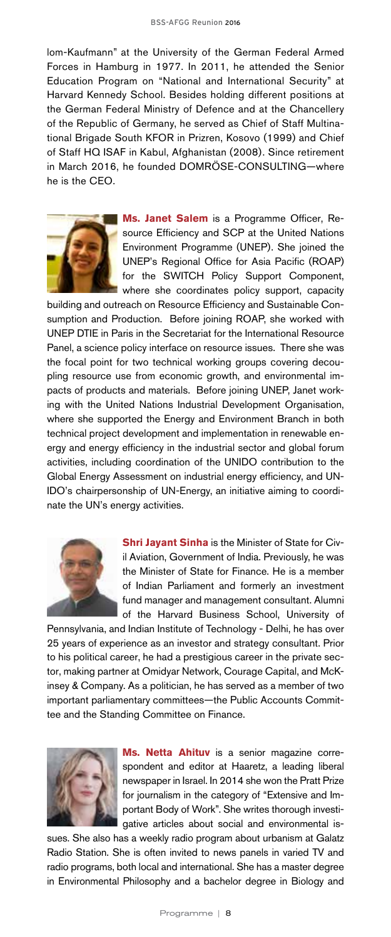lom-Kaufmann" at the University of the German Federal Armed Forces in Hamburg in 1977. In 2011, he attended the Senior Education Program on "National and International Security" at Harvard Kennedy School. Besides holding different positions at the German Federal Ministry of Defence and at the Chancellery of the Republic of Germany, he served as Chief of Staff Multinational Brigade South KFOR in Prizren, Kosovo (1999) and Chief of Staff HQ ISAF in Kabul, Afghanistan (2008). Since retirement in March 2016, he founded DOMRÖSE-CONSULTING—where he is the CEO.



**Ms. Janet Salem** is a Programme Officer, Resource Efficiency and SCP at the United Nations Environment Programme (UNEP). She joined the UNEP's Regional Office for Asia Pacific (ROAP) for the SWITCH Policy Support Component, where she coordinates policy support, capacity

building and outreach on Resource Efficiency and Sustainable Consumption and Production. Before joining ROAP, she worked with UNEP DTIE in Paris in the Secretariat for the International Resource Panel, a science policy interface on resource issues. There she was the focal point for two technical working groups covering decoupling resource use from economic growth, and environmental impacts of products and materials. Before joining UNEP, Janet working with the United Nations Industrial Development Organisation, where she supported the Energy and Environment Branch in both technical project development and implementation in renewable energy and energy efficiency in the industrial sector and global forum activities, including coordination of the UNIDO contribution to the Global Energy Assessment on industrial energy efficiency, and UN-IDO's chairpersonship of UN-Energy, an initiative aiming to coordinate the UN's energy activities.



**Shri Jayant Sinha** is the Minister of State for Civil Aviation, Government of India. Previously, he was the Minister of State for Finance. He is a member of Indian Parliament and formerly an investment fund manager and management consultant. Alumni of the Harvard Business School, University of

Pennsylvania, and Indian Institute of Technology - Delhi, he has over 25 years of experience as an investor and strategy consultant. Prior to his political career, he had a prestigious career in the private sector, making partner at Omidyar Network, Courage Capital, and McKinsey & Company. As a politician, he has served as a member of two important parliamentary committees—the Public Accounts Committee and the Standing Committee on Finance.



**Ms. Netta Ahituv** is a senior magazine correspondent and editor at Haaretz, a leading liberal newspaper in Israel. In 2014 she won the Pratt Prize for journalism in the category of "Extensive and Important Body of Work". She writes thorough investigative articles about social and environmental is-

sues. She also has a weekly radio program about urbanism at Galatz Radio Station. She is often invited to news panels in varied TV and radio programs, both local and international. She has a master degree in Environmental Philosophy and a bachelor degree in Biology and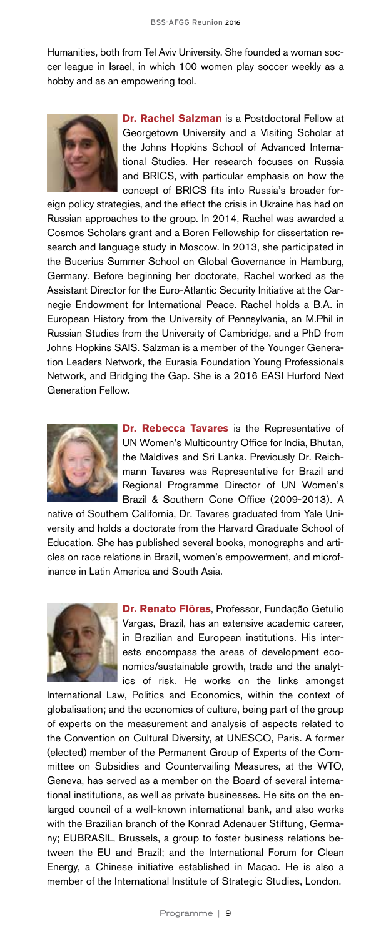Humanities, both from Tel Aviv University. She founded a woman soccer league in Israel, in which 100 women play soccer weekly as a hobby and as an empowering tool.



**Dr. Rachel Salzman** is a Postdoctoral Fellow at Georgetown University and a Visiting Scholar at the Johns Hopkins School of Advanced International Studies. Her research focuses on Russia and BRICS, with particular emphasis on how the concept of BRICS fits into Russia's broader for-

eign policy strategies, and the effect the crisis in Ukraine has had on Russian approaches to the group. In 2014, Rachel was awarded a Cosmos Scholars grant and a Boren Fellowship for dissertation research and language study in Moscow. In 2013, she participated in the Bucerius Summer School on Global Governance in Hamburg, Germany. Before beginning her doctorate, Rachel worked as the Assistant Director for the Euro-Atlantic Security Initiative at the Carnegie Endowment for International Peace. Rachel holds a B.A. in European History from the University of Pennsylvania, an M.Phil in Russian Studies from the University of Cambridge, and a PhD from Johns Hopkins SAIS. Salzman is a member of the Younger Generation Leaders Network, the Eurasia Foundation Young Professionals Network, and Bridging the Gap. She is a 2016 EASI Hurford Next Generation Fellow.



**Dr. Rebecca Tavares** is the Representative of UN Women's Multicountry Office for India, Bhutan, the Maldives and Sri Lanka. Previously Dr. Reichmann Tavares was Representative for Brazil and Regional Programme Director of UN Women's Brazil & Southern Cone Office (2009-2013). A

native of Southern California, Dr. Tavares graduated from Yale University and holds a doctorate from the Harvard Graduate School of Education. She has published several books, monographs and articles on race relations in Brazil, women's empowerment, and microfinance in Latin America and South Asia.



**Dr. Renato Flôres**, Professor, Fundação Getulio Vargas, Brazil, has an extensive academic career, in Brazilian and European institutions. His interests encompass the areas of development economics/sustainable growth, trade and the analytics of risk. He works on the links amongst

International Law, Politics and Economics, within the context of globalisation; and the economics of culture, being part of the group of experts on the measurement and analysis of aspects related to the Convention on Cultural Diversity, at UNESCO, Paris. A former (elected) member of the Permanent Group of Experts of the Committee on Subsidies and Countervailing Measures, at the WTO, Geneva, has served as a member on the Board of several international institutions, as well as private businesses. He sits on the enlarged council of a well-known international bank, and also works with the Brazilian branch of the Konrad Adenauer Stiftung, Germany; EUBRASIL, Brussels, a group to foster business relations between the EU and Brazil; and the International Forum for Clean Energy, a Chinese initiative established in Macao. He is also a member of the International Institute of Strategic Studies, London.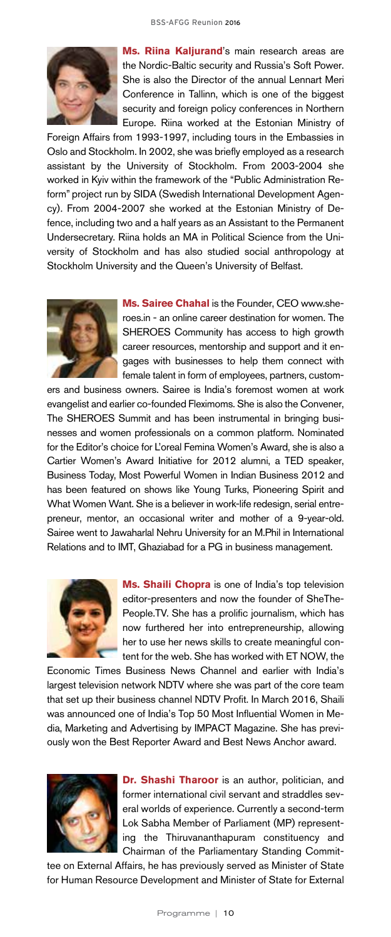

**Ms. Riina Kaljurand**'s main research areas are the Nordic-Baltic security and Russia's Soft Power. She is also the Director of the annual Lennart Meri Conference in Tallinn, which is one of the biggest security and foreign policy conferences in Northern Europe. Riina worked at the Estonian Ministry of

Foreign Affairs from 1993-1997, including tours in the Embassies in Oslo and Stockholm. In 2002, she was briefly employed as a research assistant by the University of Stockholm. From 2003-2004 she worked in Kyiv within the framework of the "Public Administration Reform" project run by SIDA (Swedish International Development Agency). From 2004-2007 she worked at the Estonian Ministry of Defence, including two and a half years as an Assistant to the Permanent Undersecretary. Riina holds an MA in Political Science from the University of Stockholm and has also studied social anthropology at Stockholm University and the Queen's University of Belfast.



**Ms. Sairee Chahal** is the Founder, CEO www.sheroes.in - an online career destination for women. The SHEROES Community has access to high growth career resources, mentorship and support and it engages with businesses to help them connect with female talent in form of employees, partners, custom-

ers and business owners. Sairee is India's foremost women at work evangelist and earlier co-founded Fleximoms. She is also the Convener, The SHEROES Summit and has been instrumental in bringing businesses and women professionals on a common platform. Nominated for the Editor's choice for L'oreal Femina Women's Award, she is also a Cartier Women's Award Initiative for 2012 alumni, a TED speaker, Business Today, Most Powerful Women in Indian Business 2012 and has been featured on shows like Young Turks, Pioneering Spirit and What Women Want. She is a believer in work-life redesign, serial entrepreneur, mentor, an occasional writer and mother of a 9-year-old. Sairee went to Jawaharlal Nehru University for an M.Phil in International Relations and to IMT, Ghaziabad for a PG in business management.



**Ms. Shaili Chopra** is one of India's top television editor-presenters and now the founder of SheThe-People.TV. She has a prolific journalism, which has now furthered her into entrepreneurship, allowing her to use her news skills to create meaningful content for the web. She has worked with ET NOW, the

Economic Times Business News Channel and earlier with India's largest television network NDTV where she was part of the core team that set up their business channel NDTV Profit. In March 2016, Shaili was announced one of India's Top 50 Most Influential Women in Media, Marketing and Advertising by IMPACT Magazine. She has previously won the Best Reporter Award and Best News Anchor award.



**Dr. Shashi Tharoor** is an author, politician, and former international civil servant and straddles several worlds of experience. Currently a second-term Lok Sabha Member of Parliament (MP) representing the Thiruvananthapuram constituency and Chairman of the Parliamentary Standing Commit-

tee on External Affairs, he has previously served as Minister of State for Human Resource Development and Minister of State for External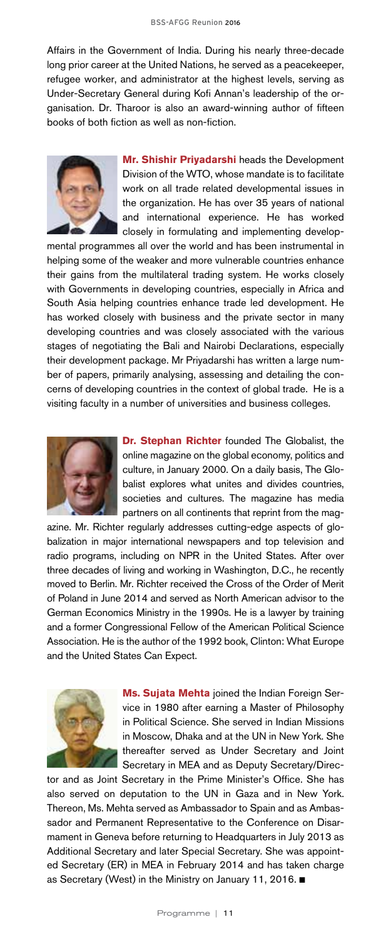Affairs in the Government of India. During his nearly three-decade long prior career at the United Nations, he served as a peacekeeper, refugee worker, and administrator at the highest levels, serving as Under-Secretary General during Kofi Annan's leadership of the organisation. Dr. Tharoor is also an award-winning author of fifteen books of both fiction as well as non-fiction.



**Mr. Shishir Priyadarshi** heads the Development Division of the WTO, whose mandate is to facilitate work on all trade related developmental issues in the organization. He has over 35 years of national and international experience. He has worked closely in formulating and implementing develop-

mental programmes all over the world and has been instrumental in helping some of the weaker and more vulnerable countries enhance their gains from the multilateral trading system. He works closely with Governments in developing countries, especially in Africa and South Asia helping countries enhance trade led development. He has worked closely with business and the private sector in many developing countries and was closely associated with the various stages of negotiating the Bali and Nairobi Declarations, especially their development package. Mr Priyadarshi has written a large number of papers, primarily analysing, assessing and detailing the concerns of developing countries in the context of global trade. He is a visiting faculty in a number of universities and business colleges.



**Dr. Stephan Richter** founded The Globalist, the online magazine on the global economy, politics and culture, in January 2000. On a daily basis, The Globalist explores what unites and divides countries, societies and cultures. The magazine has media partners on all continents that reprint from the mag-

azine. Mr. Richter regularly addresses cutting-edge aspects of globalization in major international newspapers and top television and radio programs, including on NPR in the United States. After over three decades of living and working in Washington, D.C., he recently moved to Berlin. Mr. Richter received the Cross of the Order of Merit of Poland in June 2014 and served as North American advisor to the German Economics Ministry in the 1990s. He is a lawyer by training and a former Congressional Fellow of the American Political Science Association. He is the author of the 1992 book, Clinton: What Europe and the United States Can Expect.



**Ms. Sujata Mehta** joined the Indian Foreign Service in 1980 after earning a Master of Philosophy in Political Science. She served in Indian Missions in Moscow, Dhaka and at the UN in New York. She thereafter served as Under Secretary and Joint Secretary in MEA and as Deputy Secretary/Direc-

tor and as Joint Secretary in the Prime Minister's Office. She has also served on deputation to the UN in Gaza and in New York. Thereon, Ms. Mehta served as Ambassador to Spain and as Ambassador and Permanent Representative to the Conference on Disarmament in Geneva before returning to Headquarters in July 2013 as Additional Secretary and later Special Secretary. She was appointed Secretary (ER) in MEA in February 2014 and has taken charge as Secretary (West) in the Ministry on January 11, 2016.